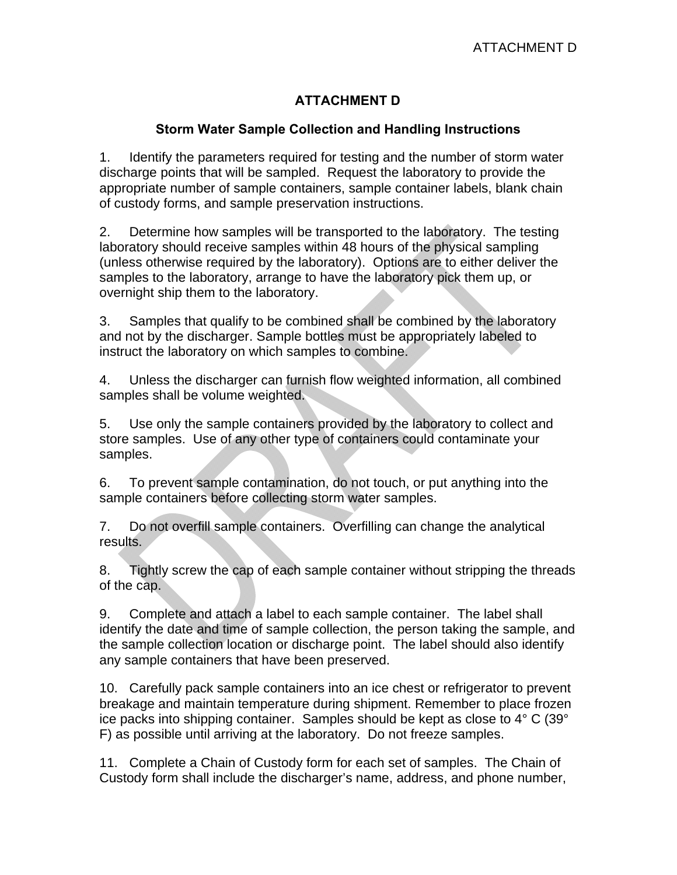## **ATTACHMENT D**

## **Storm Water Sample Collection and Handling Instructions**

1. Identify the parameters required for testing and the number of storm water discharge points that will be sampled. Request the laboratory to provide the appropriat e number of sample containers, sample container labels, blank chain of custody forms, and sample preservation instructions.

2. Determine how samples will be transported to the laboratory. The testing laboratory should receive samples within 48 hours of the physical sampling (unless otherwise required by the laboratory). Options are to either deliver the samples t o the laboratory, arrange to have the laboratory pick them up, or overnight ship them to the laboratory.

3. Samples that qualify to be combined shall be combined by the laboratory and not by the discharger. Sample bottles must be appropriately labeled to ins truct the laboratory on which samples to combine.

4. samples shall be volume weighted. Unless the discharger can furnish flow weighted information, all combined

5. store samples. Use of any other type of containers could contaminate your samples. Use only the sample containers provided by the laboratory to collect and

6. sample containers before collecting storm water samples. To prevent sample contamination, do not touch, or put anything into the

7. results. Do not overfill sample containers. Overfilling can change the analytical

8. Tightly screw the cap of each sample container without stripping the threads of the cap.

9. identify the date and time of sample collection, the person taking the sample, and the sample collection location or discharge point. The label should also identify an y sample containers that have been preserved. Complete and attach a label to each sample container. The label shall

10. Carefully pack sample containers into an ice chest or refrigerator to prevent breakage and maintain temperature during shipment. Remember to place frozen ice packs into shipping container. Samples should be kept as close to  $4^{\circ}$  C (39 $^{\circ}$ ) F) as possible until arriving at the laboratory. Do not freeze samples.

11. Complete a Chain of Custody form for each set of samples. The Chain of Cu stody form shall include the discharger's name, address, and phone number,